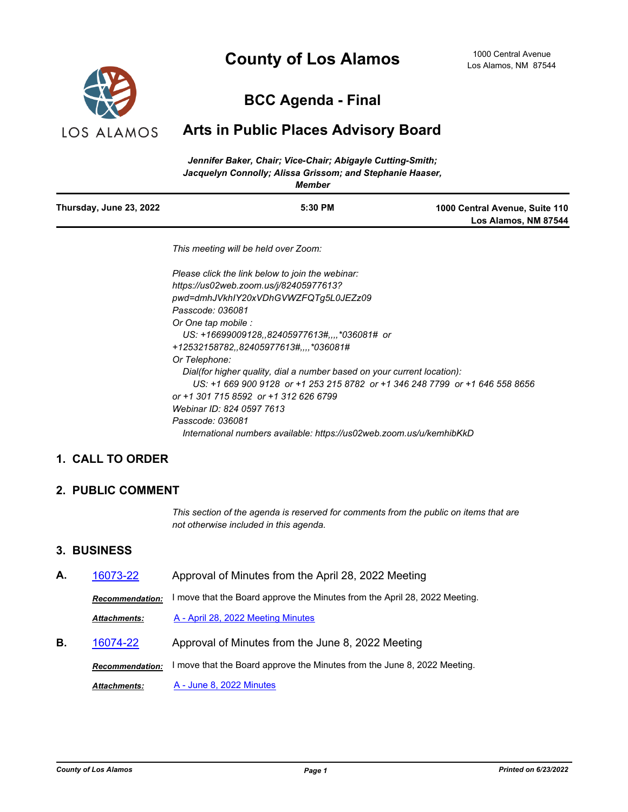# **County of Los Alamos**



# **BCC Agenda - Final**

## **Arts in Public Places Advisory Board**

|                         | Jennifer Baker, Chair; Vice-Chair; Abigayle Cutting-Smith; |                                |
|-------------------------|------------------------------------------------------------|--------------------------------|
|                         | Jacquelyn Connolly: Alissa Grissom: and Stephanie Haaser,  |                                |
|                         | Member                                                     |                                |
| Thursday, June 23, 2022 | 5:30 PM                                                    | 1000 Central Avenue, Suite 110 |
|                         |                                                            | Los Alamos, NM 87544           |

*This meeting will be held over Zoom:*

*Please click the link below to join the webinar: https://us02web.zoom.us/j/82405977613? pwd=dmhJVkhIY20xVDhGVWZFQTg5L0JEZz09 Passcode: 036081 Or One tap mobile : US: +16699009128,,82405977613#,,,,\*036081# or +12532158782,,82405977613#,,,,\*036081# Or Telephone: Dial(for higher quality, dial a number based on your current location): US: +1 669 900 9128 or +1 253 215 8782 or +1 346 248 7799 or +1 646 558 8656 or +1 301 715 8592 or +1 312 626 6799 Webinar ID: 824 0597 7613 Passcode: 036081 International numbers available: https://us02web.zoom.us/u/kemhibKkD*

## **1. CALL TO ORDER**

### **2. PUBLIC COMMENT**

*This section of the agenda is reserved for comments from the public on items that are not otherwise included in this agenda.*

#### **3. BUSINESS**

**A.** [16073-22](http://losalamos.legistar.com/gateway.aspx?m=l&id=/matter.aspx?key=17640) Approval of Minutes from the April 28, 2022 Meeting *Recommendation:* I move that the Board approve the Minutes from the April 28, 2022 Meeting. *Attachments:* [A - April 28, 2022 Meeting Minutes](http://LosAlamos.legistar.com/gateway.aspx?M=F&ID=78299548-c52a-4df6-aaf3-bdc20756442f.pdf) **B.** [16074-22](http://losalamos.legistar.com/gateway.aspx?m=l&id=/matter.aspx?key=17641) Approval of Minutes from the June 8, 2022 Meeting *Recommendation:* I move that the Board approve the Minutes from the June 8, 2022 Meeting. *Attachments:* [A - June 8, 2022 Minutes](http://LosAlamos.legistar.com/gateway.aspx?M=F&ID=a2e00b56-a64e-41de-a4a2-01e42788761f.pdf)